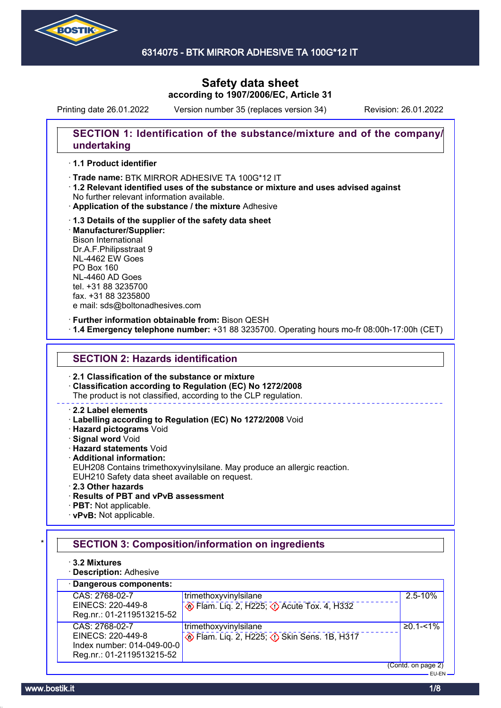

# **Safety data sheet according to 1907/2006/EC, Article 31**

Printing date 26.01.2022 Version number 35 (replaces version 34) Revision: 26.01.2022

## **SECTION 1: Identification of the substance/mixture and of the company/ undertaking**

### · **1.1 Product identifier**

· Trade name: BTK MIRROR ADHESIVE TA 100G\*12 IT

- · **1.2 Relevant identified uses of the substance or mixture and uses advised against** No further relevant information available.
- · **Application of the substance / the mixture** Adhesive
- · **1.3 Details of the supplier of the safety data sheet** · **Manufacturer/Supplier:** Bison International Dr.A.F.Philipsstraat 9 NL-4462 EW Goes PO Box 160 NL-4460 AD Goes tel. +31 88 3235700 fax. +31 88 3235800 e mail: sds@boltonadhesives.com

### · **Further information obtainable from:** Bison QESH

· **1.4 Emergency telephone number:** +31 88 3235700. Operating hours mo-fr 08:00h-17:00h (CET)

## **SECTION 2: Hazards identification**

· **2.1 Classification of the substance or mixture**

· **Classification according to Regulation (EC) No 1272/2008**

The product is not classified, according to the CLP regulation.

### · **2.2 Label elements**

· **Labelling according to Regulation (EC) No 1272/2008** Void

· **Hazard pictograms** Void

· **Signal word** Void

· **Hazard statements** Void

- · **Additional information:**
- EUH208 Contains trimethoxyvinylsilane. May produce an allergic reaction. EUH210 Safety data sheet available on request.

· **2.3 Other hazards**

## · **Results of PBT and vPvB assessment**

- · **PBT:** Not applicable.
- · **vPvB:** Not applicable.

## **SECTION 3: Composition/information on ingredients**

· **3.2 Mixtures**

· **Description:** Adhesive

## · **Dangerous components:**

| CAS: 2768-02-7             | trimethoxyvinylsilane                                        | $2.5 - 10%$                                          |
|----------------------------|--------------------------------------------------------------|------------------------------------------------------|
| EINECS: 220-449-8          | Department Flam. Lig. 2, H225; $\Diamond$ Acute Tox. 4, H332 |                                                      |
| Reg.nr.: 01-2119513215-52  |                                                              |                                                      |
| CAS: 2768-02-7             | trimethoxyvinylsilane                                        | $≥0.1 - 51\%$                                        |
| EINECS: 220-449-8          | De Flam. Liq. 2, H225; 3 Skin Sens. 1B, H317                 |                                                      |
| Index number: 014-049-00-0 |                                                              |                                                      |
| Reg.nr.: 01-2119513215-52  |                                                              |                                                      |
|                            |                                                              | $(n_{\text{and}} + n_{\text{and}} + n_{\text{and}})$ |

(Contd. on page 2) EU-EN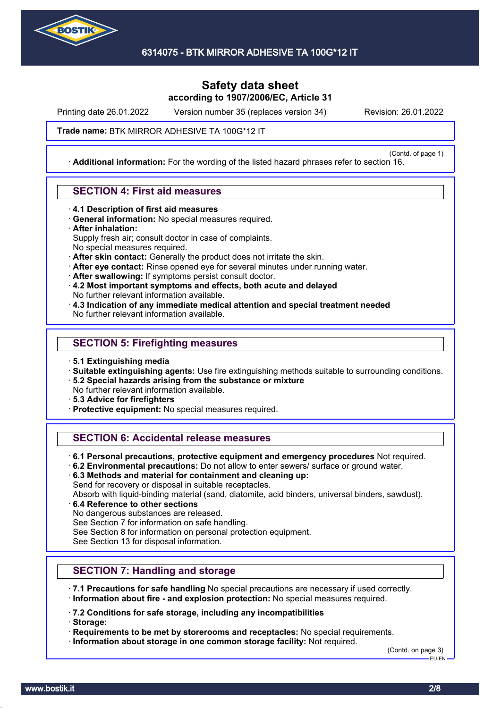

# **Safety data sheet according to 1907/2006/EC, Article 31**

Printing date 26.01.2022 Version number 35 (replaces version 34) Revision: 26.01.2022

(Contd. of page 1)

### **Trade name: BTK MIRROR ADHESIVE TA 100G\*12 IT**

· **Additional information:** For the wording of the listed hazard phrases refer to section 16.

### **SECTION 4: First aid measures**

- · **4.1 Description of first aid measures**
- · **General information:** No special measures required.
- · **After inhalation:**

Supply fresh air; consult doctor in case of complaints.

- No special measures required.
- · **After skin contact:** Generally the product does not irritate the skin.
- · **After eye contact:** Rinse opened eye for several minutes under running water.
- · **After swallowing:** If symptoms persist consult doctor.
- · **4.2 Most important symptoms and effects, both acute and delayed** No further relevant information available.
- · **4.3 Indication of any immediate medical attention and special treatment needed** No further relevant information available.

### **SECTION 5: Firefighting measures**

- · **5.1 Extinguishing media**
- · **Suitable extinguishing agents:** Use fire extinguishing methods suitable to surrounding conditions.
- · **5.2 Special hazards arising from the substance or mixture**
- No further relevant information available.
- · **5.3 Advice for firefighters**
- · **Protective equipment:** No special measures required.

## **SECTION 6: Accidental release measures**

- · **6.1 Personal precautions, protective equipment and emergency procedures** Not required.
- · **6.2 Environmental precautions:** Do not allow to enter sewers/ surface or ground water.
- · **6.3 Methods and material for containment and cleaning up:**

Send for recovery or disposal in suitable receptacles.

Absorb with liquid-binding material (sand, diatomite, acid binders, universal binders, sawdust).

- · **6.4 Reference to other sections**
- No dangerous substances are released.

See Section 7 for information on safe handling.

See Section 8 for information on personal protection equipment.

See Section 13 for disposal information.

## **SECTION 7: Handling and storage**

- · **7.1 Precautions for safe handling** No special precautions are necessary if used correctly. · **Information about fire - and explosion protection:** No special measures required.
- · **7.2 Conditions for safe storage, including any incompatibilities**
- · **Storage:**

· **Requirements to be met by storerooms and receptacles:** No special requirements.

· **Information about storage in one common storage facility:** Not required.

(Contd. on page 3) EU-EN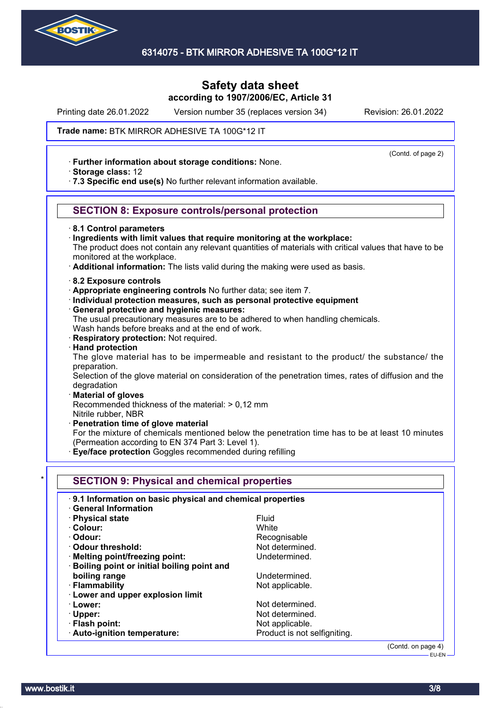

Printing date 26.01.2022 Version number 35 (replaces version 34) Revision: 26.01.2022

(Contd. of page 2)

### **Trade name: BTK MIRROR ADHESIVE TA 100G\*12 IT**

- · **Further information about storage conditions:** None.
- · **Storage class:** 12
- · **7.3 Specific end use(s)** No further relevant information available.

## **SECTION 8: Exposure controls/personal protection**

#### · **8.1 Control parameters**

- · **Ingredients with limit values that require monitoring at the workplace:**
- The product does not contain any relevant quantities of materials with critical values that have to be monitored at the workplace.
- · **Additional information:** The lists valid during the making were used as basis.
- · **8.2 Exposure controls**
- · **Appropriate engineering controls** No further data; see item 7.
- · **Individual protection measures, such as personal protective equipment**
- · **General protective and hygienic measures:**
- The usual precautionary measures are to be adhered to when handling chemicals. Wash hands before breaks and at the end of work.
- · **Respiratory protection:** Not required.
- · **Hand protection**

The glove material has to be impermeable and resistant to the product/ the substance/ the preparation.

Selection of the glove material on consideration of the penetration times, rates of diffusion and the degradation

· **Material of gloves**

Recommended thickness of the material: > 0,12 mm

- Nitrile rubber, NBR
- · **Penetration time of glove material**

For the mixture of chemicals mentioned below the penetration time has to be at least 10 minutes (Permeation according to EN 374 Part 3: Level 1).

**Eye/face protection** Goggles recommended during refilling

| 9.1 Information on basic physical and chemical properties |                              |
|-----------------------------------------------------------|------------------------------|
| <b>General Information</b>                                |                              |
| · Physical state                                          | Fluid                        |
| · Colour:                                                 | White                        |
| · Odour:                                                  | Recognisable                 |
| Odour threshold:                                          | Not determined.              |
| · Melting point/freezing point:                           | Undetermined.                |
| · Boiling point or initial boiling point and              |                              |
| boiling range                                             | Undetermined.                |
| · Flammability                                            | Not applicable.              |
| · Lower and upper explosion limit                         |                              |
| · Lower:                                                  | Not determined.              |
| $\cdot$ Upper:                                            | Not determined.              |
| · Flash point:                                            | Not applicable.              |
| · Auto-ignition temperature:                              | Product is not selfigniting. |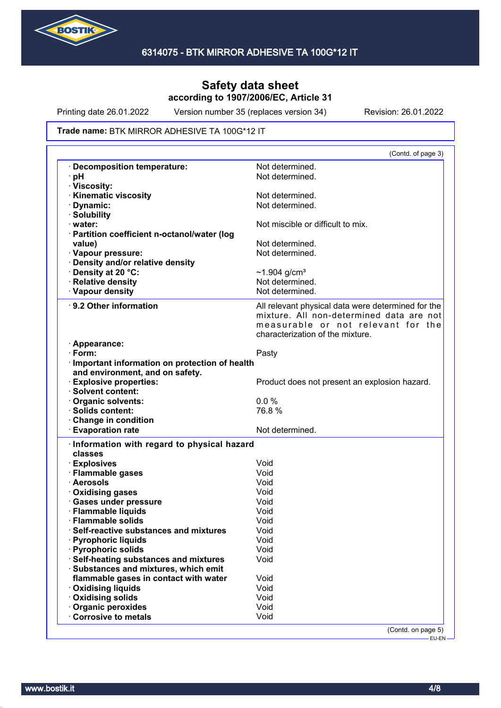

Printing date 26.01.2022 Version number 35 (replaces version 34) Revision: 26.01.2022

#### **Trade name: BTK MIRROR ADHESIVE TA 100G\*12 IT**

|                                                 | (Contd. of page 3)                                 |
|-------------------------------------------------|----------------------------------------------------|
| · Decomposition temperature:                    | Not determined.                                    |
| ∙ pH                                            | Not determined.                                    |
| · Viscosity:                                    |                                                    |
| <b>Kinematic viscosity</b>                      | Not determined.                                    |
| Dynamic:                                        | Not determined.                                    |
| · Solubility                                    |                                                    |
| $\cdot$ water:                                  | Not miscible or difficult to mix.                  |
| · Partition coefficient n-octanol/water (log    |                                                    |
| value)                                          | Not determined.                                    |
| · Vapour pressure:                              | Not determined.                                    |
| · Density and/or relative density               |                                                    |
| · Density at 20 °C:                             | ~1.904 $g/cm^{3}$                                  |
| · Relative density                              | Not determined.                                    |
| · Vapour density                                | Not determined.                                    |
|                                                 |                                                    |
| · 9.2 Other information                         | All relevant physical data were determined for the |
|                                                 | mixture. All non-determined data are not           |
|                                                 | measurable or not relevant for the                 |
|                                                 | characterization of the mixture.                   |
| · Appearance:                                   |                                                    |
| $\cdot$ Form:                                   | Pasty                                              |
| · Important information on protection of health |                                                    |
| and environment, and on safety.                 |                                                    |
| · Explosive properties:                         | Product does not present an explosion hazard.      |
| · Solvent content:                              |                                                    |
| Organic solvents:                               | 0.0%                                               |
| · Solids content:                               | 76.8%                                              |
| Change in condition                             |                                                    |
| <b>Evaporation rate</b>                         | Not determined.                                    |
|                                                 |                                                    |
|                                                 |                                                    |
| · Information with regard to physical hazard    |                                                    |
| classes                                         |                                                    |
| · Explosives                                    | Void                                               |
| · Flammable gases                               | Void                                               |
| · Aerosols                                      | Void                                               |
| · Oxidising gases                               | Void                                               |
| · Gases under pressure                          | Void                                               |
| · Flammable liquids                             | Void                                               |
| · Flammable solids                              | Void                                               |
| Self-reactive substances and mixtures           | Void                                               |
| <b>Pyrophoric liquids</b>                       | Void                                               |
| · Pyrophoric solids                             | Void                                               |
| <b>Self-heating substances and mixtures</b>     | Void                                               |
| · Substances and mixtures, which emit           |                                                    |
| flammable gases in contact with water           | Void                                               |
| · Oxidising liquids                             | Void                                               |
| · Oxidising solids                              | Void                                               |
| · Organic peroxides                             | Void                                               |
| <b>Corrosive to metals</b>                      | Void                                               |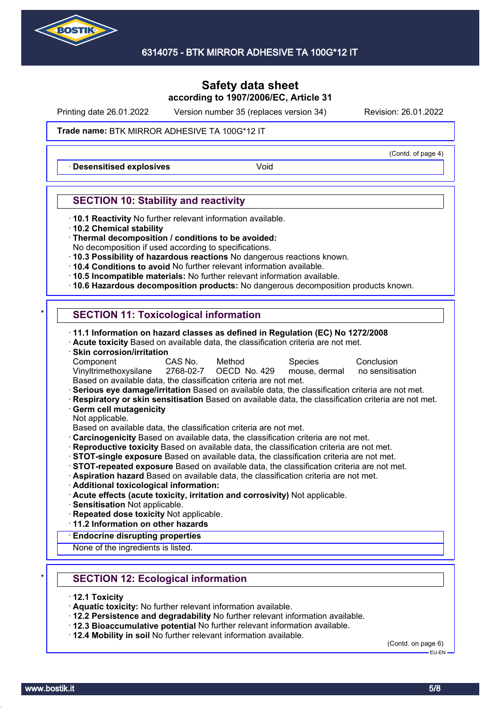

Printing date 26.01.2022 Version number 35 (replaces version 34) Revision: 26.01.2022

### **Trade name: BTK MIRROR ADHESIVE TA 100G\*12 IT**

**Desensitised explosives Void** 

## **SECTION 10: Stability and reactivity**

- · **10.1 Reactivity** No further relevant information available.
- · **10.2 Chemical stability**
- · **Thermal decomposition / conditions to be avoided:**
- No decomposition if used according to specifications.
- · **10.3 Possibility of hazardous reactions** No dangerous reactions known.
- · **10.4 Conditions to avoid** No further relevant information available.
- · **10.5 Incompatible materials:** No further relevant information available.
- · **10.6 Hazardous decomposition products:** No dangerous decomposition products known.

## **SECTION 11: Toxicological information**

· **11.1 Information on hazard classes as defined in Regulation (EC) No 1272/2008**

- · **Acute toxicity** Based on available data, the classification criteria are not met.
- · **Skin corrosion/irritation**

| Component                                                                   | CAS No. | Method | Species | Conclusion |
|-----------------------------------------------------------------------------|---------|--------|---------|------------|
| Vinyltrimethoxysilane 2768-02-7 OECD No. 429 mouse, dermal no sensitisation |         |        |         |            |
| Based on available data, the classification criteria are not met.           |         |        |         |            |

· **Serious eye damage/irritation** Based on available data, the classification criteria are not met.

- · **Respiratory or skin sensitisation** Based on available data, the classification criteria are not met. · **Germ cell mutagenicity**
- Not applicable.

Based on available data, the classification criteria are not met.

- · **Carcinogenicity** Based on available data, the classification criteria are not met.
- · **Reproductive toxicity** Based on available data, the classification criteria are not met.
- · **STOT-single exposure** Based on available data, the classification criteria are not met.
- · **STOT-repeated exposure** Based on available data, the classification criteria are not met.
- · **Aspiration hazard** Based on available data, the classification criteria are not met.
- · **Additional toxicological information:**
- · **Acute effects (acute toxicity, irritation and corrosivity)** Not applicable.
- · **Sensitisation** Not applicable.
- · **Repeated dose toxicity** Not applicable.
- · **11.2 Information on other hazards**
- · **Endocrine disrupting properties**

None of the ingredients is listed.

- **SECTION 12: Ecological information**
- · **12.1 Toxicity**
- · **Aquatic toxicity:** No further relevant information available.
- · **12.2 Persistence and degradability** No further relevant information available.
- · **12.3 Bioaccumulative potential** No further relevant information available.
- · **12.4 Mobility in soil** No further relevant information available.

(Contd. on page 6)

EU-EN

(Contd. of page 4)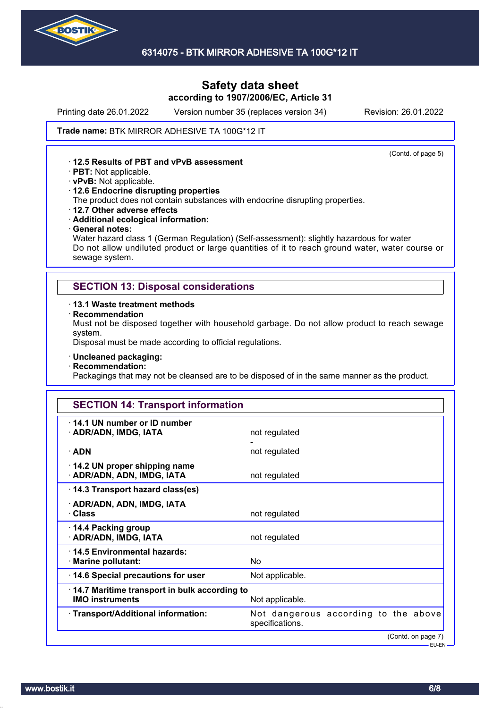

# **Safety data sheet according to 1907/2006/EC, Article 31**

Printing date 26.01.2022 Version number 35 (replaces version 34) Revision: 26.01.2022

(Contd. of page 5)

#### **Trade name: BTK MIRROR ADHESIVE TA 100G\*12 IT**

### · **12.5 Results of PBT and vPvB assessment**

- · **PBT:** Not applicable.
- · **vPvB:** Not applicable.
- · **12.6 Endocrine disrupting properties**

The product does not contain substances with endocrine disrupting properties.

- · **12.7 Other adverse effects**
- · **Additional ecological information:**
- · **General notes:**

Water hazard class 1 (German Regulation) (Self-assessment): slightly hazardous for water Do not allow undiluted product or large quantities of it to reach ground water, water course or sewage system.

## **SECTION 13: Disposal considerations**

#### · **13.1 Waste treatment methods**

· **Recommendation**

Must not be disposed together with household garbage. Do not allow product to reach sewage system.

Disposal must be made according to official regulations.

- · **Uncleaned packaging:**
- · **Recommendation:**

Packagings that may not be cleansed are to be disposed of in the same manner as the product.

| <b>SECTION 14: Transport information</b>                               |                                                         |  |  |  |
|------------------------------------------------------------------------|---------------------------------------------------------|--|--|--|
| 14.1 UN number or ID number<br>· ADR/ADN, IMDG, IATA                   | not regulated                                           |  |  |  |
| $\cdot$ ADN                                                            | not regulated                                           |  |  |  |
| 14.2 UN proper shipping name<br>· ADR/ADN, ADN, IMDG, IATA             | not regulated                                           |  |  |  |
| 14.3 Transport hazard class(es)                                        |                                                         |  |  |  |
| · ADR/ADN, ADN, IMDG, IATA<br>· Class                                  | not regulated                                           |  |  |  |
| 14.4 Packing group<br>· ADR/ADN, IMDG, IATA                            | not regulated                                           |  |  |  |
| 14.5 Environmental hazards:<br>· Marine pollutant:                     | No                                                      |  |  |  |
| 14.6 Special precautions for user                                      | Not applicable.                                         |  |  |  |
| 14.7 Maritime transport in bulk according to<br><b>IMO instruments</b> | Not applicable.                                         |  |  |  |
| · Transport/Additional information:                                    | Not dangerous according to the above<br>specifications. |  |  |  |
|                                                                        | (Contd. on page 7)<br>– EU-EN <del>–</del>              |  |  |  |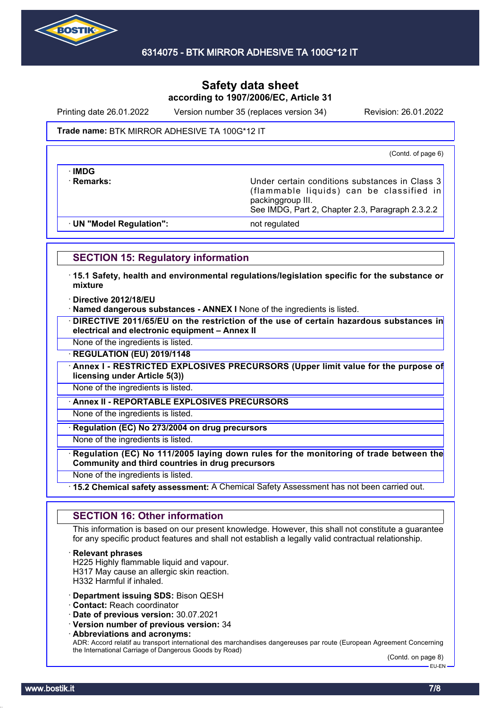

Printing date 26.01.2022 Version number 35 (replaces version 34) Revision: 26.01.2022

#### **Trade name: BTK MIRROR ADHESIVE TA 100G\*12 IT**

(Contd. of page 6)

· **IMDG**

**Remarks:** The Remarks: **Remarks:** Under certain conditions substances in Class 3 (flammable liquids) can be classified in packinggroup III. See IMDG, Part 2, Chapter 2.3, Paragraph 2.3.2.2

· **UN "Model Regulation":** not regulated

## **SECTION 15: Regulatory information**

· **15.1 Safety, health and environmental regulations/legislation specific for the substance or mixture**

· **Directive 2012/18/EU**

· **Named dangerous substances - ANNEX I** None of the ingredients is listed.

· **DIRECTIVE 2011/65/EU on the restriction of the use of certain hazardous substances in electrical and electronic equipment – Annex II**

None of the ingredients is listed.

· **REGULATION (EU) 2019/1148**

· **Annex I - RESTRICTED EXPLOSIVES PRECURSORS (Upper limit value for the purpose of licensing under Article 5(3))**

None of the ingredients is listed.

· **Annex II - REPORTABLE EXPLOSIVES PRECURSORS**

None of the ingredients is listed.

· **Regulation (EC) No 273/2004 on drug precursors**

None of the ingredients is listed.

· **Regulation (EC) No 111/2005 laying down rules for the monitoring of trade between the Community and third countries in drug precursors**

None of the ingredients is listed.

· **15.2 Chemical safety assessment:** A Chemical Safety Assessment has not been carried out.

## **SECTION 16: Other information**

This information is based on our present knowledge. However, this shall not constitute a guarantee for any specific product features and shall not establish a legally valid contractual relationship.

· **Relevant phrases**

H225 Highly flammable liquid and vapour. H317 May cause an allergic skin reaction. H332 Harmful if inhaled.

· **Department issuing SDS:** Bison QESH

· **Contact:** Reach coordinator

· **Date of previous version:** 30.07.2021

- · **Version number of previous version:** 34
- · **Abbreviations and acronyms:**

ADR: Accord relatif au transport international des marchandises dangereuses par route (European Agreement Concerning the International Carriage of Dangerous Goods by Road)

(Contd. on page 8) EU-EN